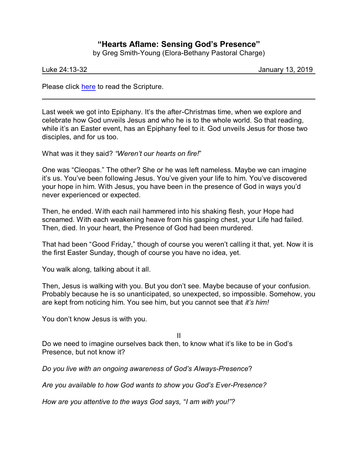## **"Hearts Aflame: Sensing God's Presence"**

by Greg Smith-Young (Elora-Bethany Pastoral Charge)

Luke 24:13-32 January 13, 2019

Please click [here](https://www.biblegateway.com/passage/?search=Luke+24%3A13-32&version=CEB) to read the Scripture.

Last week we got into Epiphany. It's the after-Christmas time, when we explore and celebrate how God unveils Jesus and who he is to the whole world. So that reading, while it's an Easter event, has an Epiphany feel to it. God unveils Jesus for those two disciples, and for us too.

What was it they said? *"Weren't our hearts on fire!*"

One was "Cleopas." The other? She or he was left nameless. Maybe we can imagine it's us. You've been following Jesus. You've given your life to him. You've discovered your hope in him. With Jesus, you have been in the presence of God in ways you'd never experienced or expected.

Then, he ended. With each nail hammered into his shaking flesh, your Hope had screamed. With each weakening heave from his gasping chest, your Life had failed. Then, died. In your heart, the Presence of God had been murdered.

That had been "Good Friday," though of course you weren't calling it that, yet. Now it is the first Easter Sunday, though of course you have no idea, yet.

You walk along, talking about it all.

Then, Jesus is walking with you. But you don't see. Maybe because of your confusion. Probably because he is so unanticipated, so unexpected, so impossible. Somehow, you are kept from noticing him. You see him, but you cannot see that *it's him!*

You don't know Jesus is with you.

II

Do we need to imagine ourselves back then, to know what it's like to be in God's Presence, but not know it?

*Do you live with an ongoing awareness of God's Always-Presence*?

*Are you available to how God wants to show you God's Ever-Presence?*

*How are you attentive to the ways God says, "I am with you!"?*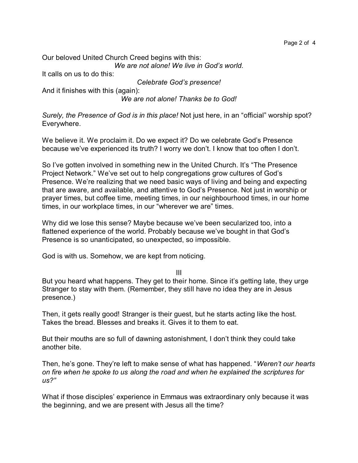Our beloved United Church Creed begins with this: *We are not alone! We live in God's world.*

It calls on us to do this:

*Celebrate God's presence!*

And it finishes with this (again):

*We are not alone! Thanks be to God!*

*Surely, the Presence of God is in this place!* Not just here, in an "official" worship spot? Everywhere.

We believe it. We proclaim it. Do we expect it? Do we celebrate God's Presence because we've experienced its truth? I worry we don't. I know that too often I don't.

So I've gotten involved in something new in the United Church. It's "The Presence Project Network." We've set out to help congregations grow cultures of God's Presence. We're realizing that we need basic ways of living and being and expecting that are aware, and available, and attentive to God's Presence. Not just in worship or prayer times, but coffee time, meeting times, in our neighbourhood times, in our home times, in our workplace times, in our "wherever we are" times.

Why did we lose this sense? Maybe because we've been secularized too, into a flattened experience of the world. Probably because we've bought in that God's Presence is so unanticipated, so unexpected, so impossible.

God is with us. Somehow, we are kept from noticing.

III

But you heard what happens. They get to their home. Since it's getting late, they urge Stranger to stay with them. (Remember, they still have no idea they are in Jesus presence.)

Then, it gets really good! Stranger is their guest, but he starts acting like the host. Takes the bread. Blesses and breaks it. Gives it to them to eat.

But their mouths are so full of dawning astonishment, I don't think they could take another bite.

Then, he's gone. They're left to make sense of what has happened. "*Weren't our hearts on fire when he spoke to us along the road and when he explained the scriptures for us?"*

What if those disciples' experience in Emmaus was extraordinary only because it was the beginning, and we are present with Jesus all the time?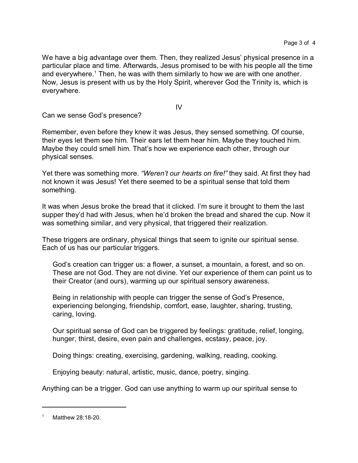We have a big advantage over them. Then, they realized Jesus' physical presence in a particular place and time. Afterwards, Jesus promised to be with his people all the time and everywhere.<sup>1</sup> Then, he was with them similarly to how we are with one another. Now, Jesus is present with us by the Holy Spirit, wherever God the Trinity is, which is everywhere.

IV

Can we sense God's presence?

Remember, even before they knew it was Jesus, they sensed something. Of course, their eyes let them see him. Their ears let them hear him. Maybe they touched him. Maybe they could smell him. That's how we experience each other, through our physical senses.

Yet there was something more. *"Weren't our hearts on fire!"* they said. At first they had not known it was Jesus! Yet there seemed to be a spiritual sense that told them something.

It was when Jesus broke the bread that it clicked. I'm sure it brought to them the last supper they'd had with Jesus, when he'd broken the bread and shared the cup. Now it was something similar, and very physical, that triggered their realization.

These triggers are ordinary, physical things that seem to ignite our spiritual sense. Each of us has our particular triggers.

God's creation can trigger us: a flower, a sunset, a mountain, a forest, and so on. These are not God. They are not divine. Yet our experience of them can point us to their Creator (and ours), warming up our spiritual sensory awareness.

Being in relationship with people can trigger the sense of God's Presence, experiencing belonging, friendship, comfort, ease, laughter, sharing, trusting, caring, loving.

Our spiritual sense of God can be triggered by feelings: gratitude, relief, longing, hunger, thirst, desire, even pain and challenges, ecstasy, peace, joy.

Doing things: creating, exercising, gardening, walking, reading, cooking.

Enjoying beauty: natural, artistic, music, dance, poetry, singing.

Anything can be a trigger. God can use anything to warm up our spiritual sense to

Matthew 28:18-20.